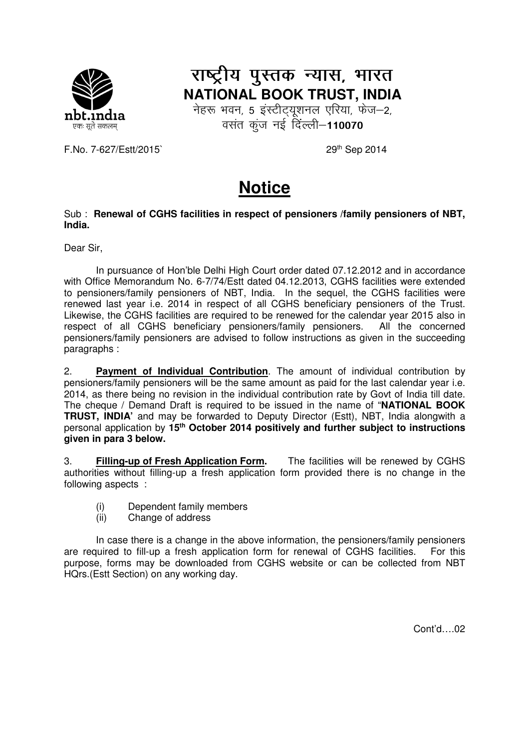

## राष्ट्रीय पुस्तक न्यास, भारत **NATIONAL BOOK TRUST, INDIA**

नेहरू भवन, 5 इंस्टीट्यूशनल एरिया, फेज-2, वसंत कुंज नई दिल्ली-110070

F.No. 7-627/Estt/2015` 29<sup>th</sup> Sep 2014

## **Notice**

## Sub : **Renewal of CGHS facilities in respect of pensioners /family pensioners of NBT, India.**

Dear Sir,

 In pursuance of Hon'ble Delhi High Court order dated 07.12.2012 and in accordance with Office Memorandum No. 6-7/74/Estt dated 04.12.2013, CGHS facilities were extended to pensioners/family pensioners of NBT, India. In the sequel, the CGHS facilities were renewed last year i.e. 2014 in respect of all CGHS beneficiary pensioners of the Trust. Likewise, the CGHS facilities are required to be renewed for the calendar year 2015 also in respect of all CGHS beneficiary pensioners/family pensioners. All the concerned pensioners/family pensioners are advised to follow instructions as given in the succeeding paragraphs :

2. **Payment of Individual Contribution**. The amount of individual contribution by pensioners/family pensioners will be the same amount as paid for the last calendar year i.e. 2014, as there being no revision in the individual contribution rate by Govt of India till date. The cheque / Demand Draft is required to be issued in the name of "**NATIONAL BOOK TRUST, INDIA'** and may be forwarded to Deputy Director (Estt), NBT, India alongwith a personal application by **15th October 2014 positively and further subject to instructions given in para 3 below.** 

3. **Filling-up of Fresh Application Form.** The facilities will be renewed by CGHS authorities without filling-up a fresh application form provided there is no change in the following aspects :

- (i) Dependent family members
- (ii) Change of address

 In case there is a change in the above information, the pensioners/family pensioners are required to fill-up a fresh application form for renewal of CGHS facilities. For this purpose, forms may be downloaded from CGHS website or can be collected from NBT HQrs.(Estt Section) on any working day.

Cont'd….02